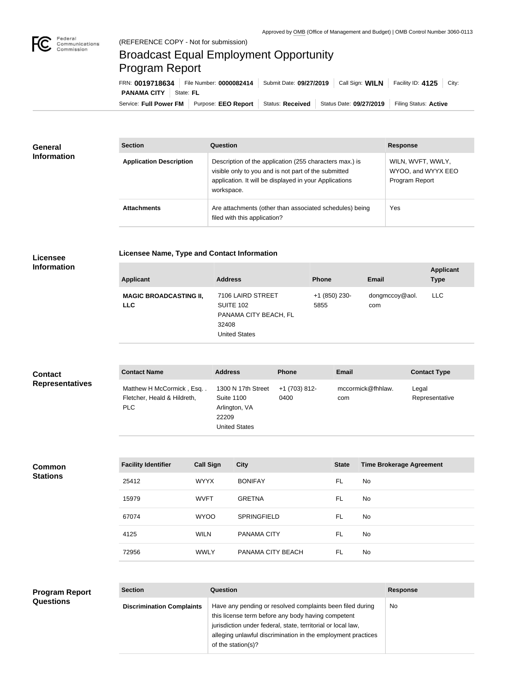

## Broadcast Equal Employment Opportunity Program Report

**Licensee Name, Type and Contact Information**

Service: Full Power FM Purpose: EEO Report | Status: Received | Status Date: 09/27/2019 | Filing Status: Active **PANAMA CITY** State: FL FRN: **0019718634** File Number: **0000082414** Submit Date: **09/27/2019** Call Sign: **WILN** Facility ID: **4125** City:

| <b>General</b><br><b>Information</b> | <b>Section</b>                 | <b>Question</b>                                                                                                                                                                         | <b>Response</b>                                           |
|--------------------------------------|--------------------------------|-----------------------------------------------------------------------------------------------------------------------------------------------------------------------------------------|-----------------------------------------------------------|
|                                      | <b>Application Description</b> | Description of the application (255 characters max.) is<br>visible only to you and is not part of the submitted<br>application. It will be displayed in your Applications<br>workspace. | WILN, WVFT, WWLY,<br>WYOO, and WYYX EEO<br>Program Report |
|                                      | <b>Attachments</b>             | Are attachments (other than associated schedules) being<br>filed with this application?                                                                                                 | Yes                                                       |

## **Licensee Information**

| <b>Applicant</b>                            | <b>Address</b>                                                                                  | <b>Phone</b>          | Email                 | <b>Applicant</b><br><b>Type</b> |
|---------------------------------------------|-------------------------------------------------------------------------------------------------|-----------------------|-----------------------|---------------------------------|
| <b>MAGIC BROADCASTING II,</b><br><b>LLC</b> | 7106 LAIRD STREET<br><b>SUITE 102</b><br>PANAMA CITY BEACH, FL<br>32408<br><b>United States</b> | +1 (850) 230-<br>5855 | dongmccoy@aol.<br>com | LLC.                            |

| <b>Contact</b>         | <b>Contact Name</b>                                             | <b>Address</b>                                                                            | <b>Phone</b>          | <b>Email</b>             | <b>Contact Type</b>     |
|------------------------|-----------------------------------------------------------------|-------------------------------------------------------------------------------------------|-----------------------|--------------------------|-------------------------|
| <b>Representatives</b> | Matthew H McCormick, Esq<br>Fletcher, Heald & Hildreth,<br>PLC. | 1300 N 17th Street<br><b>Suite 1100</b><br>Arlington, VA<br>22209<br><b>United States</b> | +1 (703) 812-<br>0400 | mccormick@fhhlaw.<br>com | Legal<br>Representative |

**Common Stations**

| <b>Facility Identifier</b> | <b>Call Sign</b> | <b>City</b>        | <b>State</b> | <b>Time Brokerage Agreement</b> |
|----------------------------|------------------|--------------------|--------------|---------------------------------|
| 25412                      | <b>WYYX</b>      | <b>BONIFAY</b>     | <b>FL</b>    | No.                             |
| 15979                      | <b>WVFT</b>      | <b>GRETNA</b>      | <b>FL</b>    | No.                             |
| 67074                      | <b>WYOO</b>      | <b>SPRINGFIELD</b> | <b>FL</b>    | No.                             |
| 4125                       | <b>WILN</b>      | <b>PANAMA CITY</b> | FL           | No.                             |
| 72956                      | <b>WWLY</b>      | PANAMA CITY BEACH  | FL           | No.                             |

| <b>Program Report</b> | <b>Section</b>                   | <b>Question</b>                                                                                                                                                                                                                                                       | <b>Response</b> |
|-----------------------|----------------------------------|-----------------------------------------------------------------------------------------------------------------------------------------------------------------------------------------------------------------------------------------------------------------------|-----------------|
| <b>Questions</b>      | <b>Discrimination Complaints</b> | Have any pending or resolved complaints been filed during<br>this license term before any body having competent<br>jurisdiction under federal, state, territorial or local law,<br>alleging unlawful discrimination in the employment practices<br>of the station(s)? | No              |
|                       |                                  |                                                                                                                                                                                                                                                                       |                 |